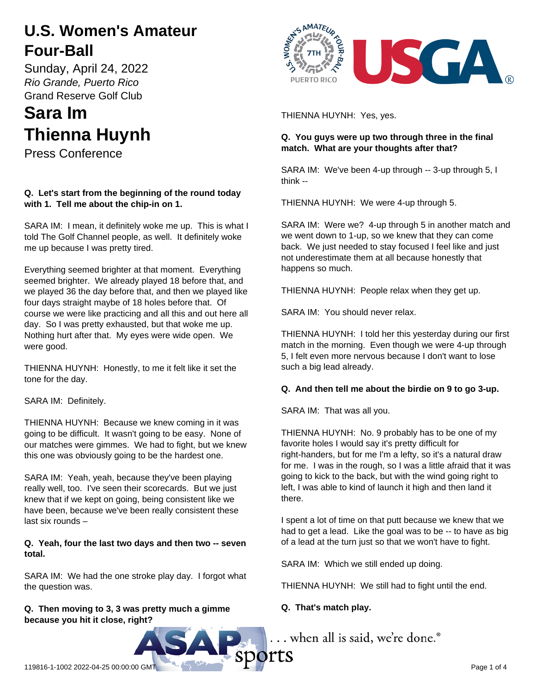## **U.S. Women's Amateur Four-Ball**

Sunday, April 24, 2022 *Rio Grande, Puerto Rico* Grand Reserve Golf Club

# **Sara Im Thienna Huynh**

Press Conference

## **Q. Let's start from the beginning of the round today with 1. Tell me about the chip-in on 1.**

SARA IM: I mean, it definitely woke me up. This is what I told The Golf Channel people, as well. It definitely woke me up because I was pretty tired.

Everything seemed brighter at that moment. Everything seemed brighter. We already played 18 before that, and we played 36 the day before that, and then we played like four days straight maybe of 18 holes before that. Of course we were like practicing and all this and out here all day. So I was pretty exhausted, but that woke me up. Nothing hurt after that. My eyes were wide open. We were good.

THIENNA HUYNH: Honestly, to me it felt like it set the tone for the day.

SARA IM: Definitely.

THIENNA HUYNH: Because we knew coming in it was going to be difficult. It wasn't going to be easy. None of our matches were gimmes. We had to fight, but we knew this one was obviously going to be the hardest one.

SARA IM: Yeah, yeah, because they've been playing really well, too. I've seen their scorecards. But we just knew that if we kept on going, being consistent like we have been, because we've been really consistent these last six rounds –

## **Q. Yeah, four the last two days and then two -- seven total.**

SARA IM: We had the one stroke play day. I forgot what the question was.

## **Q. Then moving to 3, 3 was pretty much a gimme because you hit it close, right?**



THIENNA HUYNH: Yes, yes.

## **Q. You guys were up two through three in the final match. What are your thoughts after that?**

SARA IM: We've been 4-up through -- 3-up through 5, I think --

THIENNA HUYNH: We were 4-up through 5.

SARA IM: Were we? 4-up through 5 in another match and we went down to 1-up, so we knew that they can come back. We just needed to stay focused I feel like and just not underestimate them at all because honestly that happens so much.

THIENNA HUYNH: People relax when they get up.

SARA IM: You should never relax.

THIENNA HUYNH: I told her this yesterday during our first match in the morning. Even though we were 4-up through 5, I felt even more nervous because I don't want to lose such a big lead already.

## **Q. And then tell me about the birdie on 9 to go 3-up.**

SARA IM: That was all you.

THIENNA HUYNH: No. 9 probably has to be one of my favorite holes I would say it's pretty difficult for right-handers, but for me I'm a lefty, so it's a natural draw for me. I was in the rough, so I was a little afraid that it was going to kick to the back, but with the wind going right to left, I was able to kind of launch it high and then land it there.

I spent a lot of time on that putt because we knew that we had to get a lead. Like the goal was to be -- to have as big of a lead at the turn just so that we won't have to fight.

SARA IM: Which we still ended up doing.

THIENNA HUYNH: We still had to fight until the end.

## **Q. That's match play.**

... when all is said, we're done.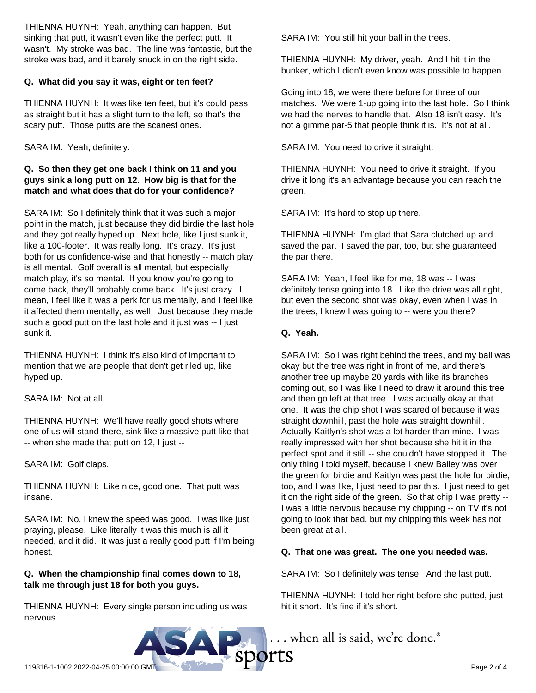THIENNA HUYNH: Yeah, anything can happen. But sinking that putt, it wasn't even like the perfect putt. It wasn't. My stroke was bad. The line was fantastic, but the stroke was bad, and it barely snuck in on the right side.

### **Q. What did you say it was, eight or ten feet?**

THIENNA HUYNH: It was like ten feet, but it's could pass as straight but it has a slight turn to the left, so that's the scary putt. Those putts are the scariest ones.

SARA IM: Yeah, definitely.

## **Q. So then they get one back I think on 11 and you guys sink a long putt on 12. How big is that for the match and what does that do for your confidence?**

SARA IM: So I definitely think that it was such a major point in the match, just because they did birdie the last hole and they got really hyped up. Next hole, like I just sunk it, like a 100-footer. It was really long. It's crazy. It's just both for us confidence-wise and that honestly -- match play is all mental. Golf overall is all mental, but especially match play, it's so mental. If you know you're going to come back, they'll probably come back. It's just crazy. I mean, I feel like it was a perk for us mentally, and I feel like it affected them mentally, as well. Just because they made such a good putt on the last hole and it just was -- I just sunk it.

THIENNA HUYNH: I think it's also kind of important to mention that we are people that don't get riled up, like hyped up.

SARA IM: Not at all.

THIENNA HUYNH: We'll have really good shots where one of us will stand there, sink like a massive putt like that -- when she made that putt on 12, I just --

SARA IM: Golf claps.

THIENNA HUYNH: Like nice, good one. That putt was insane.

SARA IM: No, I knew the speed was good. I was like just praying, please. Like literally it was this much is all it needed, and it did. It was just a really good putt if I'm being honest.

## **Q. When the championship final comes down to 18, talk me through just 18 for both you guys.**

THIENNA HUYNH: Every single person including us was nervous.

SARA IM: You still hit your ball in the trees.

THIENNA HUYNH: My driver, yeah. And I hit it in the bunker, which I didn't even know was possible to happen.

Going into 18, we were there before for three of our matches. We were 1-up going into the last hole. So I think we had the nerves to handle that. Also 18 isn't easy. It's not a gimme par-5 that people think it is. It's not at all.

SARA IM: You need to drive it straight.

THIENNA HUYNH: You need to drive it straight. If you drive it long it's an advantage because you can reach the green.

SARA IM: It's hard to stop up there.

THIENNA HUYNH: I'm glad that Sara clutched up and saved the par. I saved the par, too, but she guaranteed the par there.

SARA IM: Yeah, I feel like for me, 18 was -- I was definitely tense going into 18. Like the drive was all right, but even the second shot was okay, even when I was in the trees, I knew I was going to -- were you there?

## **Q. Yeah.**

SARA IM: So I was right behind the trees, and my ball was okay but the tree was right in front of me, and there's another tree up maybe 20 yards with like its branches coming out, so I was like I need to draw it around this tree and then go left at that tree. I was actually okay at that one. It was the chip shot I was scared of because it was straight downhill, past the hole was straight downhill. Actually Kaitlyn's shot was a lot harder than mine. I was really impressed with her shot because she hit it in the perfect spot and it still -- she couldn't have stopped it. The only thing I told myself, because I knew Bailey was over the green for birdie and Kaitlyn was past the hole for birdie, too, and I was like, I just need to par this. I just need to get it on the right side of the green. So that chip I was pretty -- I was a little nervous because my chipping -- on TV it's not going to look that bad, but my chipping this week has not been great at all.

## **Q. That one was great. The one you needed was.**

SARA IM: So I definitely was tense. And the last putt.

THIENNA HUYNH: I told her right before she putted, just hit it short. It's fine if it's short.

 $\sum_{\text{119816-1-1002 2022-04-25 00:000 6MT}} \dots$  when all is said, we're done.<sup>8</sup>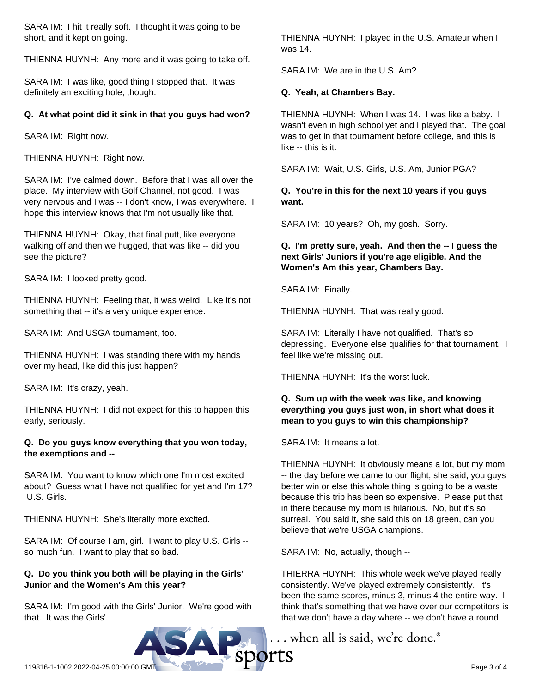SARA IM: I hit it really soft. I thought it was going to be short, and it kept on going.

THIENNA HUYNH: Any more and it was going to take off.

SARA IM: I was like, good thing I stopped that. It was definitely an exciting hole, though.

#### **Q. At what point did it sink in that you guys had won?**

SARA IM: Right now.

THIENNA HUYNH: Right now.

SARA IM: I've calmed down. Before that I was all over the place. My interview with Golf Channel, not good. I was very nervous and I was -- I don't know, I was everywhere. I hope this interview knows that I'm not usually like that.

THIENNA HUYNH: Okay, that final putt, like everyone walking off and then we hugged, that was like -- did you see the picture?

SARA IM: I looked pretty good.

THIENNA HUYNH: Feeling that, it was weird. Like it's not something that -- it's a very unique experience.

SARA IM: And USGA tournament, too.

THIENNA HUYNH: I was standing there with my hands over my head, like did this just happen?

SARA IM: It's crazy, yeah.

THIENNA HUYNH: I did not expect for this to happen this early, seriously.

#### **Q. Do you guys know everything that you won today, the exemptions and --**

SARA IM: You want to know which one I'm most excited about? Guess what I have not qualified for yet and I'm 17? U.S. Girls.

THIENNA HUYNH: She's literally more excited.

SARA IM: Of course I am, girl. I want to play U.S. Girls - so much fun. I want to play that so bad.

#### **Q. Do you think you both will be playing in the Girls' Junior and the Women's Am this year?**

SARA IM: I'm good with the Girls' Junior. We're good with that. It was the Girls'.

THIENNA HUYNH: I played in the U.S. Amateur when I was 14.

SARA IM: We are in the U.S. Am?

#### **Q. Yeah, at Chambers Bay.**

THIENNA HUYNH: When I was 14. I was like a baby. I wasn't even in high school yet and I played that. The goal was to get in that tournament before college, and this is like -- this is it.

SARA IM: Wait, U.S. Girls, U.S. Am, Junior PGA?

#### **Q. You're in this for the next 10 years if you guys want.**

SARA IM: 10 years? Oh, my gosh. Sorry.

#### **Q. I'm pretty sure, yeah. And then the -- I guess the next Girls' Juniors if you're age eligible. And the Women's Am this year, Chambers Bay.**

SARA IM: Finally.

THIENNA HUYNH: That was really good.

SARA IM: Literally I have not qualified. That's so depressing. Everyone else qualifies for that tournament. I feel like we're missing out.

THIENNA HUYNH: It's the worst luck.

### **Q. Sum up with the week was like, and knowing everything you guys just won, in short what does it mean to you guys to win this championship?**

SARA IM: It means a lot.

THIENNA HUYNH: It obviously means a lot, but my mom -- the day before we came to our flight, she said, you guys better win or else this whole thing is going to be a waste because this trip has been so expensive. Please put that in there because my mom is hilarious. No, but it's so surreal. You said it, she said this on 18 green, can you believe that we're USGA champions.

SARA IM: No, actually, though --

THIERRA HUYNH: This whole week we've played really consistently. We've played extremely consistently. It's been the same scores, minus 3, minus 4 the entire way. I think that's something that we have over our competitors is that we don't have a day where -- we don't have a round

... when all is said, we're done.<sup>®</sup>